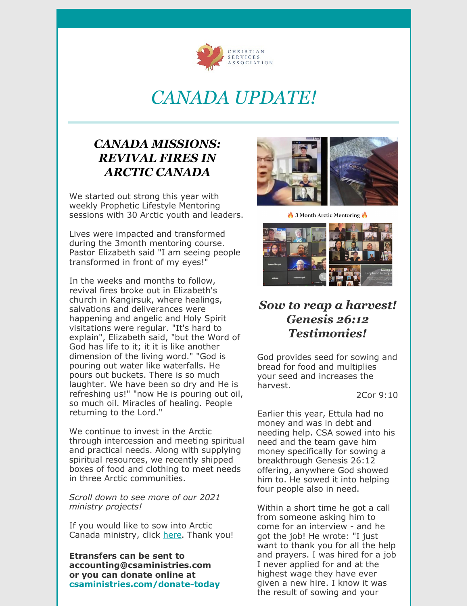

## *CANADA UPDATE!*

#### *CANADA MISSIONS: REVIVAL FIRES IN ARCTIC CANADA*

We started out strong this year with weekly Prophetic Lifestyle Mentoring sessions with 30 Arctic youth and leaders.

Lives were impacted and transformed during the 3month mentoring course. Pastor Elizabeth said "I am seeing people transformed in front of my eyes!"

In the weeks and months to follow, revival fires broke out in Elizabeth's church in Kangirsuk, where healings, salvations and deliverances were happening and angelic and Holy Spirit visitations were regular. "It's hard to explain", Elizabeth said, "but the Word of God has life to it; it it is like another dimension of the living word." "God is pouring out water like waterfalls. He pours out buckets. There is so much laughter. We have been so dry and He is refreshing us!" "now He is pouring out oil, so much oil. Miracles of healing. People returning to the Lord."

We continue to invest in the Arctic through intercession and meeting spiritual and practical needs. Along with supplying spiritual resources, we recently shipped boxes of food and clothing to meet needs in three Arctic communities.

*Scroll down to see more of our 2021 ministry projects!*

If you would like to sow into Arctic Canada ministry, click [here](https://web.na.bambora.com/scripts/payment/payment.asp?merchant_id=245162454&hashValue=b77abb882f9b981ef622912485841bfa4356dcfc&trnOrderNumber=770000&ref3=MissionsCanadaOnetime). Thank you!

**Etransfers can be sent to accounting@csaministries.com or you can donate online at [csaministries.com/donate-today](https://www.csaministries.com/donate-today)**



3 Month Arctic Mentoring



#### *Sow to reap a harvest! Genesis 26:12 Testimonies!*

God provides seed for sowing and bread for food and multiplies your seed and increases the harvest.

2Cor 9:10

Earlier this year, Ettula had no money and was in debt and needing help. CSA sowed into his need and the team gave him money specifically for sowing a breakthrough Genesis 26:12 offering, anywhere God showed him to. He sowed it into helping four people also in need.

Within a short time he got a call from someone asking him to come for an interview - and he got the job! He wrote: "I just want to thank you for all the help and prayers. I was hired for a job I never applied for and at the highest wage they have ever given a new hire. I know it was the result of sowing and your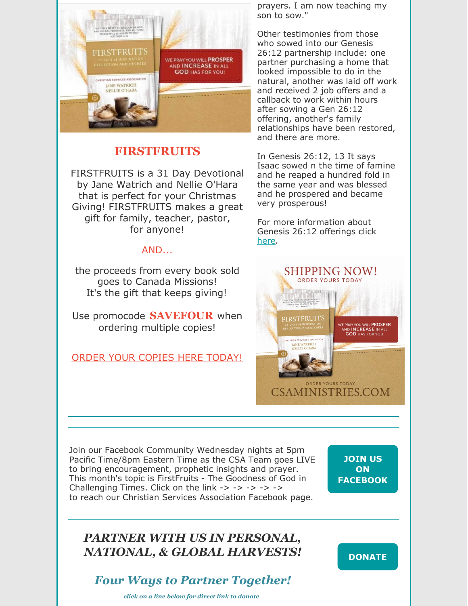

#### **FIRSTFRUITS**

FIRSTFRUITS is a 31 Day Devotional by Jane Watrich and Nellie O'Hara that is perfect for your Christmas Giving! FIRSTFRUITS makes a great gift for family, teacher, pastor, for anyone!

#### AND...

the proceeds from every book sold goes to Canada Missions! It's the gift that keeps giving!

Use promocode **SAVEFOUR** when ordering multiple copies!

ORDER YOUR [COPIES](https://www.yairusonline.com/product-page/firstfruits-pre-order-today) HERE TODAY!

prayers. I am now teaching my son to sow."

Other testimonies from those who sowed into our Genesis 26:12 partnership include: one partner purchasing a home that looked impossible to do in the natural, another was laid off work and received 2 job offers and a callback to work within hours after sowing a Gen 26:12 offering, another's family relationships have been restored, and there are more.

In Genesis 26:12, 13 It says Isaac sowed n the time of famine and he reaped a hundred fold in the same year and was blessed and he prospered and became very prosperous!

For more information about Genesis 26:12 offerings click [here](https://www.csaministries.com/genesis2612).



Join our Facebook Community Wednesday nights at 5pm Pacific Time/8pm Eastern Time as the CSA Team goes LIVE to bring encouragement, prophetic insights and prayer. This month's topic is FirstFruits - The Goodness of God in Challenging Times. Click on the link  $\rightarrow \rightarrow \rightarrow \rightarrow \rightarrow$ to reach our Christian Services Association Facebook page.

**JOIN US ON [FACEBOOK](https://www.facebook.com/ChristianServicesAssociation)**

## *PARTNER WITH US IN PERSONAL, NATIONAL, & GLOBAL HARVESTS!*

## *Four Ways to Partner Together!*

*click on a line below for direct link to donate*

#### **[DONATE](https://www.csaministries.com/donate-today)**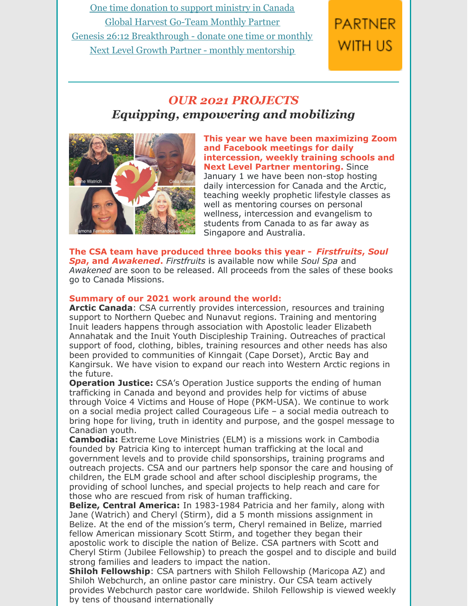One time [donation](https://web.na.bambora.com/scripts/payment/payment.asp?merchant_id=245162454&hashValue=b77abb882f9b981ef622912485841bfa4356dcfc&trnOrderNumber=330000&trnLanguage=eng&ref3=GeneralDonationOnetime) to support ministry in Canada Global Harvest [Go-Team](https://www.patriciakingministries.com/go-team-partner/) Monthly Partner Genesis 26:12 [Breakthrough](https://www.csaministries.com/genesis2612) - donate one time or monthly Next Level Growth Partner - monthly [mentorship](https://www.csaministries.com/nextlevelsignup)

# **PARTNER** WITH US

## *OUR 2021 PROJECTS Equipping, empowering and mobilizing*



**This year we have been maximizing Zoom and Facebook meetings for daily intercession, weekly training schools and Next Level Partner mentoring.** Since January 1 we have been non-stop hosting daily intercession for Canada and the Arctic, teaching weekly prophetic lifestyle classes as well as mentoring courses on personal wellness, intercession and evangelism to students from Canada to as far away as Singapore and Australia.

**The CSA team have produced three books this year -** *Firstfruits***,** *Soul Spa***, and** *Awakened***.** *Firstfruits* is available now while *Soul Spa* and *Awakened* are soon to be released. All proceeds from the sales of these books go to Canada Missions.

#### **Summary of our 2021 work around the world:**

**Arctic Canada**: CSA currently provides intercession, resources and training support to Northern Quebec and Nunavut regions. Training and mentoring Inuit leaders happens through association with Apostolic leader Elizabeth Annahatak and the Inuit Youth Discipleship Training. Outreaches of practical support of food, clothing, bibles, training resources and other needs has also been provided to communities of Kinngait (Cape Dorset), Arctic Bay and Kangirsuk. We have vision to expand our reach into Western Arctic regions in the future.

**Operation Justice:** CSA's Operation Justice supports the ending of human trafficking in Canada and beyond and provides help for victims of abuse through Voice 4 Victims and House of Hope (PKM-USA). We continue to work on a social media project called Courageous Life – a social media outreach to bring hope for living, truth in identity and purpose, and the gospel message to Canadian youth.

**Cambodia:** Extreme Love Ministries (ELM) is a missions work in Cambodia founded by Patricia King to intercept human trafficking at the local and government levels and to provide child sponsorships, training programs and outreach projects. CSA and our partners help sponsor the care and housing of children, the ELM grade school and after school discipleship programs, the providing of school lunches, and special projects to help reach and care for those who are rescued from risk of human trafficking.

**Belize, Central America:** In 1983-1984 Patricia and her family, along with Jane (Watrich) and Cheryl (Stirm), did a 5 month missions assignment in Belize. At the end of the mission's term, Cheryl remained in Belize, married fellow American missionary Scott Stirm, and together they began their apostolic work to disciple the nation of Belize. CSA partners with Scott and Cheryl Stirm (Jubilee Fellowship) to preach the gospel and to disciple and build strong families and leaders to impact the nation.

**Shiloh Fellowship**: CSA partners with Shiloh Fellowship (Maricopa AZ) and Shiloh Webchurch, an online pastor care ministry. Our CSA team actively provides Webchurch pastor care worldwide. Shiloh Fellowship is viewed weekly by tens of thousand internationally